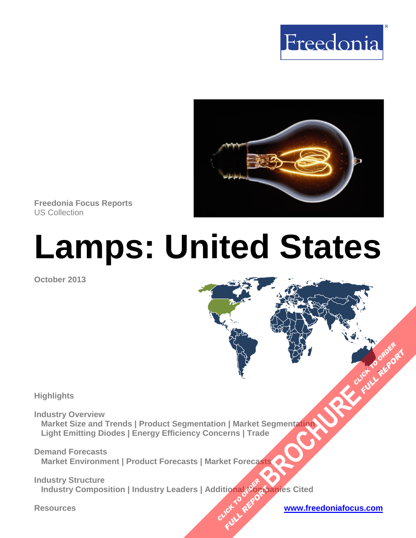



**Freedonia Focus Reports** US Collection

# **Lamps: United States**

**October 2013**

#### **Highlights**

**Industry Overview Market Size and Trends | Product Segmentation | Market Segmentation Light Emitting Diodes | Energy Efficiency Concerns | Trade BROWNER AND CLICK TO ORDER**<br>Segmentation

**Demand Forecasts Market Environment | Product Forecasts | Market Forecasts** 

**Industry Structure**  \_Industry Composition | Industry Leaders | Additional သတ္များကျွန္မေတြ Cited **CLICK TO ASSESS FULL REPORT** 

**FULL REP**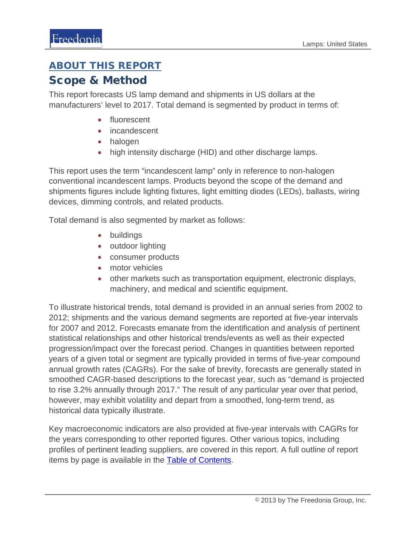### ABOUT THIS REPORT

#### Scope & Method

This report forecasts US lamp demand and shipments in US dollars at the manufacturers' level to 2017. Total demand is segmented by product in terms of:

- fluorescent
- incandescent
- halogen
- high intensity discharge (HID) and other discharge lamps.

This report uses the term "incandescent lamp" only in reference to non-halogen conventional incandescent lamps. Products beyond the scope of the demand and shipments figures include lighting fixtures, light emitting diodes (LEDs), ballasts, wiring devices, dimming controls, and related products.

Total demand is also segmented by market as follows:

- buildings
- outdoor lighting
- consumer products
- motor vehicles
- other markets such as transportation equipment, electronic displays, machinery, and medical and scientific equipment.

To illustrate historical trends, total demand is provided in an annual series from 2002 to 2012; shipments and the various demand segments are reported at five-year intervals for 2007 and 2012. Forecasts emanate from the identification and analysis of pertinent statistical relationships and other historical trends/events as well as their expected progression/impact over the forecast period. Changes in quantities between reported years of a given total or segment are typically provided in terms of five-year compound annual growth rates (CAGRs). For the sake of brevity, forecasts are generally stated in smoothed CAGR-based descriptions to the forecast year, such as "demand is projected to rise 3.2% annually through 2017." The result of any particular year over that period, however, may exhibit volatility and depart from a smoothed, long-term trend, as historical data typically illustrate.

Key macroeconomic indicators are also provided at five-year intervals with CAGRs for the years corresponding to other reported figures. Other various topics, including profiles of pertinent leading suppliers, are covered in this report. A full outline of report items by page is available in the [Table of Contents.](#page-3-0)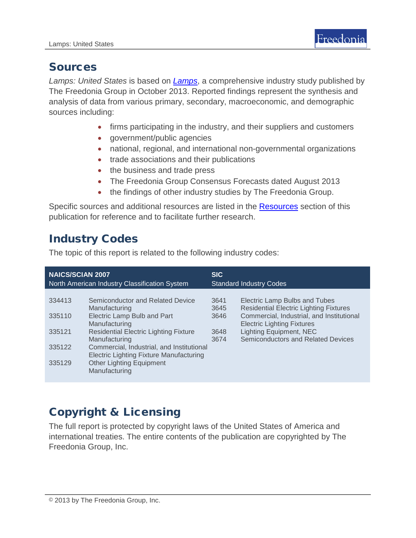## Sources

*Lamps: United States* is based on *[Lamps](http://www.freedoniagroup.com/DocumentDetails.aspx?ReferrerId=FL-FOCUS&studyid=3054)*, a comprehensive industry study published by The Freedonia Group in October 2013. Reported findings represent the synthesis and analysis of data from various primary, secondary, macroeconomic, and demographic sources including:

- firms participating in the industry, and their suppliers and customers
- government/public agencies
- national, regional, and international non-governmental organizations
- trade associations and their publications
- the business and trade press
- The Freedonia Group Consensus Forecasts dated August 2013
- the findings of other industry studies by The Freedonia Group.

Specific sources and additional resources are listed in the Resources section of this publication for reference and to facilitate further research.

# Industry Codes

The topic of this report is related to the following industry codes:

| <b>NAICS/SCIAN 2007</b><br>North American Industry Classification System |                                                                                             | <b>SIC</b><br><b>Standard Industry Codes</b> |                                                                                |
|--------------------------------------------------------------------------|---------------------------------------------------------------------------------------------|----------------------------------------------|--------------------------------------------------------------------------------|
| 334413                                                                   | Semiconductor and Related Device                                                            | 3641                                         | Electric Lamp Bulbs and Tubes                                                  |
|                                                                          | Manufacturing                                                                               | 3645                                         | <b>Residential Electric Lighting Fixtures</b>                                  |
| 335110                                                                   | Electric Lamp Bulb and Part<br>Manufacturing                                                | 3646                                         | Commercial, Industrial, and Institutional<br><b>Electric Lighting Fixtures</b> |
| 335121                                                                   | <b>Residential Electric Lighting Fixture</b><br>Manufacturing                               | 3648<br>3674                                 | <b>Lighting Equipment, NEC</b><br><b>Semiconductors and Related Devices</b>    |
| 335122                                                                   | Commercial, Industrial, and Institutional<br><b>Electric Lighting Fixture Manufacturing</b> |                                              |                                                                                |
| 335129                                                                   | <b>Other Lighting Equipment</b><br>Manufacturing                                            |                                              |                                                                                |

# Copyright & Licensing

The full report is protected by copyright laws of the United States of America and international treaties. The entire contents of the publication are copyrighted by The Freedonia Group, Inc.